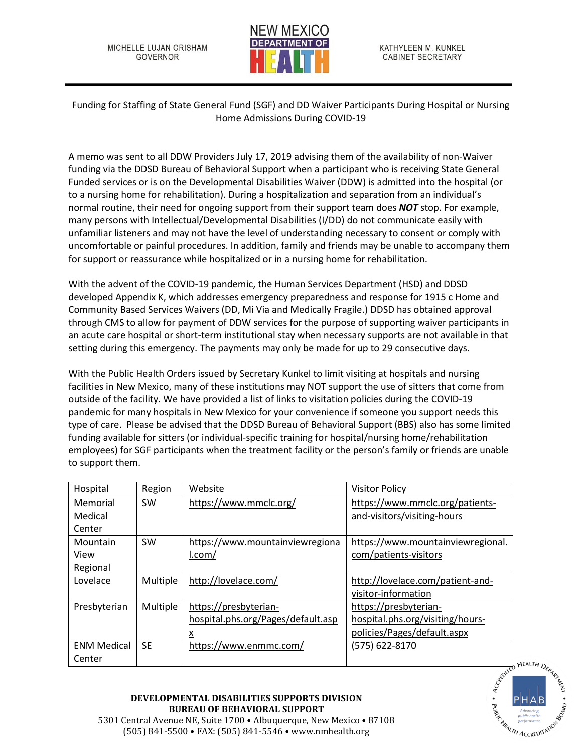MICHELLE LUJAN GRISHAM GOVERNOR



Funding for Staffing of State General Fund (SGF) and DD Waiver Participants During Hospital or Nursing Home Admissions During COVID-19

A memo was sent to all DDW Providers July 17, 2019 advising them of the availability of non-Waiver funding via the DDSD Bureau of Behavioral Support when a participant who is receiving State General Funded services or is on the Developmental Disabilities Waiver (DDW) is admitted into the hospital (or to a nursing home for rehabilitation). During a hospitalization and separation from an individual's normal routine, their need for ongoing support from their support team does *NOT* stop. For example, many persons with Intellectual/Developmental Disabilities (I/DD) do not communicate easily with unfamiliar listeners and may not have the level of understanding necessary to consent or comply with uncomfortable or painful procedures. In addition, family and friends may be unable to accompany them for support or reassurance while hospitalized or in a nursing home for rehabilitation.

With the advent of the COVID-19 pandemic, the Human Services Department (HSD) and DDSD developed Appendix K, which addresses emergency preparedness and response for 1915 c Home and Community Based Services Waivers (DD, Mi Via and Medically Fragile.) DDSD has obtained approval through CMS to allow for payment of DDW services for the purpose of supporting waiver participants in an acute care hospital or short-term institutional stay when necessary supports are not available in that setting during this emergency. The payments may only be made for up to 29 consecutive days.

With the Public Health Orders issued by Secretary Kunkel to limit visiting at hospitals and nursing facilities in New Mexico, many of these institutions may NOT support the use of sitters that come from outside of the facility. We have provided a list of links to visitation policies during the COVID-19 pandemic for many hospitals in New Mexico for your convenience if someone you support needs this type of care. Please be advised that the DDSD Bureau of Behavioral Support (BBS) also has some limited funding available for sitters (or individual-specific training for hospital/nursing home/rehabilitation employees) for SGF participants when the treatment facility or the person's family or friends are unable to support them.

| Hospital           | Region    | Website                            | <b>Visitor Policy</b>             |  |
|--------------------|-----------|------------------------------------|-----------------------------------|--|
| Memorial           | <b>SW</b> | https://www.mmclc.org/             | https://www.mmclc.org/patients-   |  |
| Medical            |           |                                    | and-visitors/visiting-hours       |  |
| Center             |           |                                    |                                   |  |
| Mountain           | <b>SW</b> | https://www.mountainviewregiona    | https://www.mountainviewregional. |  |
| View               |           | l.com/                             | com/patients-visitors             |  |
| Regional           |           |                                    |                                   |  |
| Lovelace           | Multiple  | http://lovelace.com/               | http://lovelace.com/patient-and-  |  |
|                    |           |                                    | visitor-information               |  |
| Presbyterian       | Multiple  | https://presbyterian-              | https://presbyterian-             |  |
|                    |           | hospital.phs.org/Pages/default.asp | hospital.phs.org/visiting/hours-  |  |
|                    |           | <u>x</u>                           | policies/Pages/default.aspx       |  |
| <b>ENM Medical</b> | <b>SE</b> | https://www.enmmc.com/             | (575) 622-8170                    |  |
| Center             |           |                                    |                                   |  |



## **DEVELOPMENTAL DISABILITIES SUPPORTS DIVISION BUREAU OF BEHAVIORAL SUPPORT**

5301 Central Avenue NE, Suite 1700 • Albuquerque, New Mexico • 87108 (505) 841-5500 • FAX: (505) 841-5546 • www.nmhealth.org